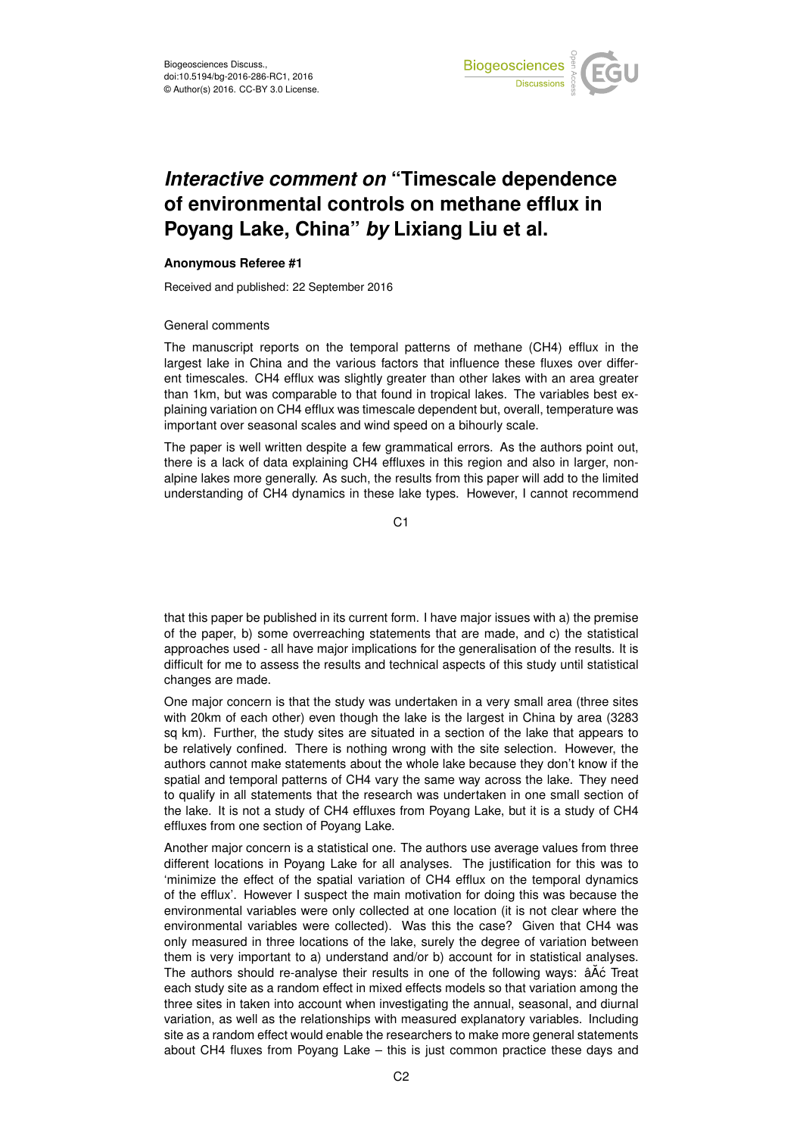

# *Interactive comment on* **"Timescale dependence of environmental controls on methane efflux in Poyang Lake, China"** *by* **Lixiang Liu et al.**

### **Anonymous Referee #1**

Received and published: 22 September 2016

### General comments

The manuscript reports on the temporal patterns of methane (CH4) efflux in the largest lake in China and the various factors that influence these fluxes over different timescales. CH4 efflux was slightly greater than other lakes with an area greater than 1km, but was comparable to that found in tropical lakes. The variables best explaining variation on CH4 efflux was timescale dependent but, overall, temperature was important over seasonal scales and wind speed on a bihourly scale.

The paper is well written despite a few grammatical errors. As the authors point out, there is a lack of data explaining CH4 effluxes in this region and also in larger, nonalpine lakes more generally. As such, the results from this paper will add to the limited understanding of CH4 dynamics in these lake types. However, I cannot recommend

C1

that this paper be published in its current form. I have major issues with a) the premise of the paper, b) some overreaching statements that are made, and c) the statistical approaches used - all have major implications for the generalisation of the results. It is difficult for me to assess the results and technical aspects of this study until statistical changes are made.

One major concern is that the study was undertaken in a very small area (three sites with 20km of each other) even though the lake is the largest in China by area (3283 sq km). Further, the study sites are situated in a section of the lake that appears to be relatively confined. There is nothing wrong with the site selection. However, the authors cannot make statements about the whole lake because they don't know if the spatial and temporal patterns of CH4 vary the same way across the lake. They need to qualify in all statements that the research was undertaken in one small section of the lake. It is not a study of CH4 effluxes from Poyang Lake, but it is a study of CH4 effluxes from one section of Poyang Lake.

Another major concern is a statistical one. The authors use average values from three different locations in Poyang Lake for all analyses. The justification for this was to 'minimize the effect of the spatial variation of CH4 efflux on the temporal dynamics of the efflux'. However I suspect the main motivation for doing this was because the environmental variables were only collected at one location (it is not clear where the environmental variables were collected). Was this the case? Given that CH4 was only measured in three locations of the lake, surely the degree of variation between them is very important to a) understand and/or b) account for in statistical analyses. The authors should re-analyse their results in one of the following ways:  $\hat{a} \hat{A} \hat{c}$  Treat each study site as a random effect in mixed effects models so that variation among the three sites in taken into account when investigating the annual, seasonal, and diurnal variation, as well as the relationships with measured explanatory variables. Including site as a random effect would enable the researchers to make more general statements about CH4 fluxes from Poyang Lake – this is just common practice these days and